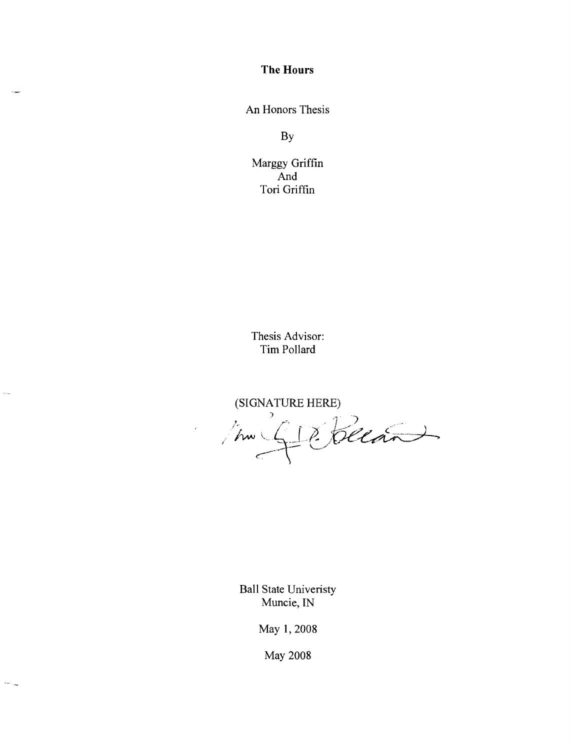**The Hours** 

An Honors Thesis

By

Marggy Griffin And Tori Griffin

Thesis Advisor: Tim Pollard

l,

 $\bar{\alpha}_{\rm{esc}}$ 

 $\overline{\mathcal{M}_{\text{max}}}$ 

(SIGNATURE HERE)

Ball State Univeristy Muncie, IN

May 1,2008

May 2008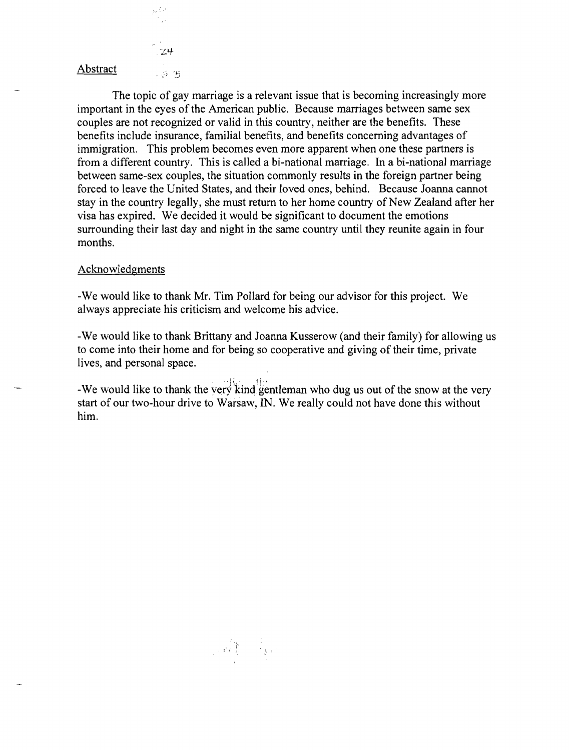$24$ Abstract  $-5.5$ 

is Co

The topic of gay marriage is a relevant issue that is becoming increasingly more important in the eyes of the American public. Because marriages between same sex couples are not recognized or valid in this country, neither are the benefits. These benefits include insurance, familial benefits, and benefits concerning advantages of immigration. This problem becomes even more apparent when one these partners is from a different country. This is called a bi-national marriage. In a bi-national marriage between same-sex couples, the situation commonly results in the foreign partner being forced to leave the United States, and their loved ones, behind. Because Joanna cannot stay in the country legally, she must return to her home country of New Zealand after her visa has expired. We decided it would be significant to document the emotions surrounding their last day and night in the same country until they reunite again in four months.

## Acknowledgments

-We would like to thank Mr. Tim Pollard for being our advisor for this project. We always appreciate his criticism and welcome his advice.

-We would like to thank Brittany and Joanna Kusserow (and their family) for allowing us to come into their home and for being so cooperative and giving of their time, private lives, and personal space.

 $\mathbb{E}[\mathbf{w}_i]$  iii -We would like to thank the yery kind gentleman who dug us out of the snow at the very start of our two-hour drive to Warsaw, IN. We really could not have done this without him.

 $\label{eq:2} \frac{1}{\sqrt{2}}\left(\sqrt{\frac{2}{\lambda}}\right)^{2} \left(\frac{1}{\lambda}\right)^{2} \left(\frac{1}{\lambda}\right)^{2} \left(\frac{1}{\lambda}\right)^{2} \left(\frac{1}{\lambda}\right)^{2}$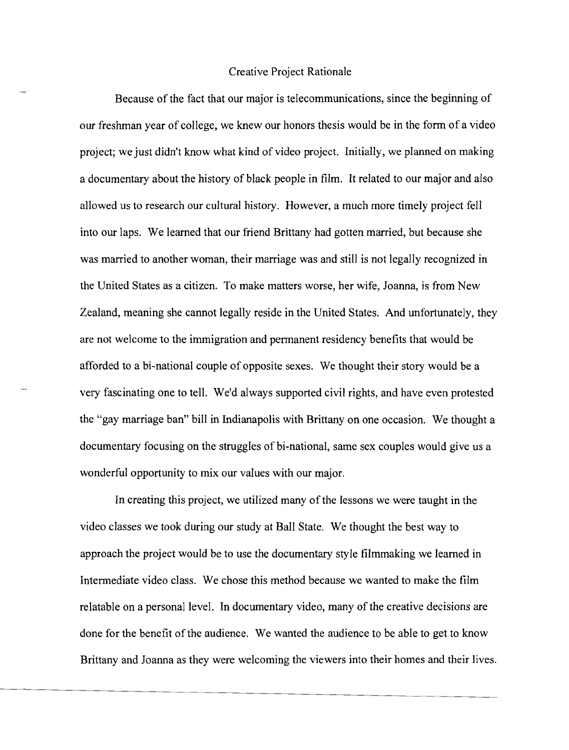## Creative Project Rationale

Because of the fact that our major is telecommunications, since the beginning of our freshman year of college, we knew our honors thesis would be in the fonn of a video project; we just didn't know what kind of video project. Initially, we planned on making a documentary about the history of black people in film. It related to our major and also allowed us to research our cultural history. However, a much more timely project fell into our laps. We learned that our friend Brittany had gotten married, but because she was married to another woman, their marriage was and still is not legally recognized in the United States as a citizen. To make matters worse, her wife, Joanna, is from New Zealand, meaning she cannot legally reside in the United States. And unfortunately, they are not welcome to the immigration and pennanent residency benefits that would be afforded to a bi-national couple of opposite sexes. We thought their story would be a very fascinating one to tell. We'd always supported civil rights, and have even protested the "gay marriage ban" bill in Indianapolis with Brittany on one occasion. We thought a documentary focusing on the struggles of bi-national, same sex couples would give us a wonderful opportunity to mix our values with our major.

In creating this project, we utilized many of the lessons we were taught in the video classes we took during our study at Ball State. We thought the best way to approach the project would be to use the documentary style filmmaking we learned in Intennediate video class. We chose this method because we wanted to make the film relatable on a personal level. In documentary video, many of the creative decisions are done for the benefit of the audience. We wanted the audience to be able to get to know Brittany and Joanna as they were welcoming the viewers into their homes and their lives.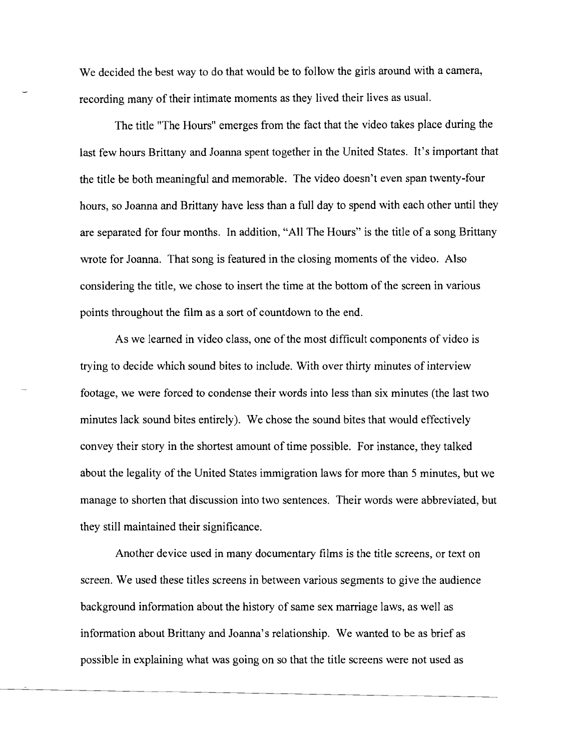We decided the best way to do that would be to follow the girls around with a camera, recording many of their intimate moments as they lived their lives as usual.

The title "The Hours" emerges from the fact that the video takes place during the last few hours Brittany and Joanna spent together in the United States. It's important that the title be both meaningful and memorable. The video doesn't even span twenty-four hours, so Joanna and Brittany have less than a full day to spend with each other until they are separated for four months. In addition, "All The Hours" is the title of a song Brittany wrote for Joanna. That song is featured in the closing moments of the video. Also considering the title, we chose to insert the time at the bottom of the screen in various points throughout the film as a sort of countdown to the end.

As we learned in video class, one of the most difficult components of video is trying to decide which sound bites to include. With over thirty minutes of interview footage, we were forced to condense their words into less than six minutes (the last two minutes lack sound bites entirely). We chose the sound bites that would effectively convey their story in the shortest amount of time possible. For instance, they talked about the legality of the United States immigration laws for more than 5 minutes, but we manage to shorten that discussion into two sentences. Their words were abbreviated, but they still maintained their significance.

Another device used in many documentary films is the title screens, or text on screen. We used these titles screens in between various segments to give the audience background information about the history of same sex marriage laws, as well as information about Brittany and Joanna's relationship. We wanted to be as brief as possible in explaining what was going on so that the title screens were not used as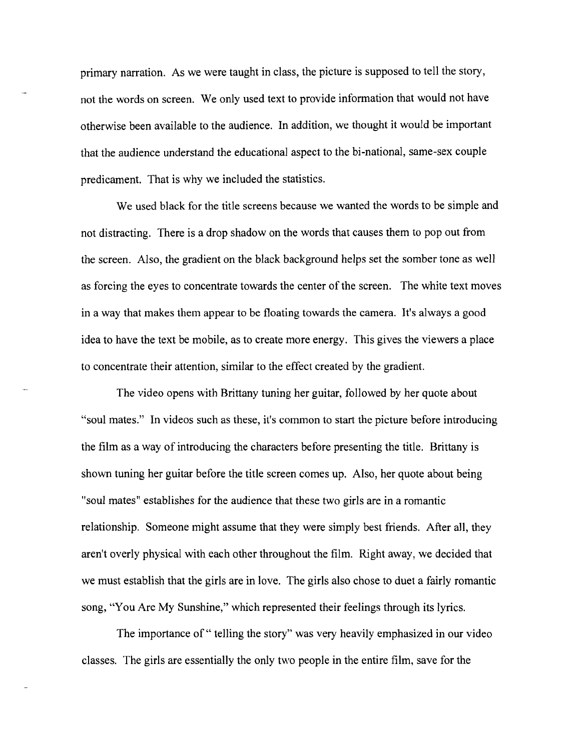primary narration. As we were taught in class, the picture is supposed to tell the story, not the words on screen. We only used text to provide information that would not have otherwise been available to the audience. In addition, we thought it would be important that the audience understand the educational aspect to the bi-national, same-sex couple predicament. That is why we included the statistics.

We used black for the title screens because we wanted the words to be simple and not distracting. There is a drop shadow on the words that causes them to pop out from the screen. Also, the gradient on the black background helps set the somber tone as well as forcing the eyes to concentrate towards the center of the screen. The white text moves in a way that makes them appear to be floating towards the camera. It's always a good idea to have the text be mobile, as to create more energy. This gives the viewers a place to concentrate their attention, similar to the effect created by the gradient.

The video opens with Brittany tuning her guitar, followed by her quote about "soul mates." In videos such as these, it's common to start the picture before introducing the film as a way of introducing the characters before presenting the title. Brittany is shown tuning her guitar before the title screen comes up. Also, her quote about being "soul mates" establishes for the audience that these two girls are in a romantic relationship. Someone might assume that they were simply best friends. After all, they aren't overly physical with each other throughout the film. Right away, we decided that we must establish that the girls are in love. The girls also chose to duet a fairly romantic song, "You Are My Sunshine," which represented their feelings through its lyrics.

The importance of " telling the story" was very heavily emphasized in our video classes. The girls are essentially the only two people in the entire film, save for the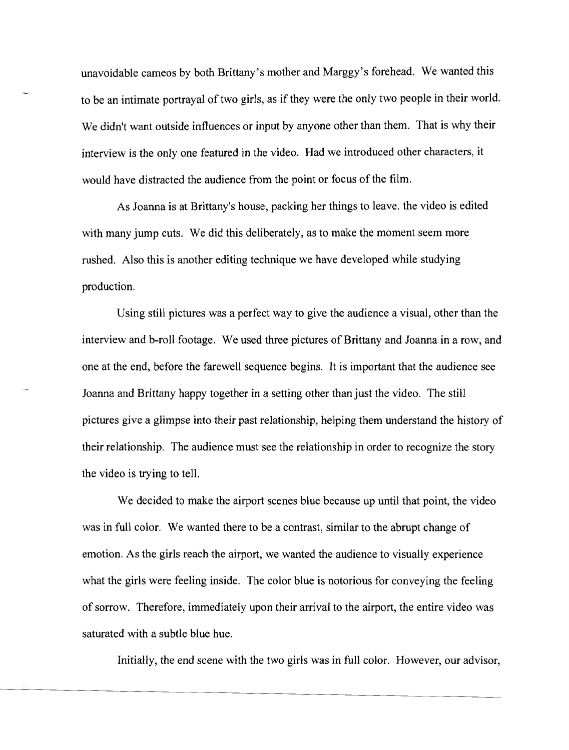unavoidable cameos by both Brittany's mother and Marggy's forehead. We wanted this to be an intimate portrayal of two girls, as if they were the only two people in their world. We didn't want outside influences or input by anyone other than them. That is why their interview is the only one featured in the video. Had we introduced other characters, it would have distracted the audience from the point or focus of the film.

As Joanna is at Brittany's house, packing her things to leave. the video is edited with many jump cuts. We did this deliberately, as to make the moment seem more rushed. Also this is another editing technique we have developed while studying production.

Using still pictures was a perfect way to give the audience a visual, other than the interview and b-roll footage. We used three pictures of Brittany and Joanna in a row, and one at the end, before the farewell sequence begins. It is important that the audience see Joanna and Brittany happy together in a setting other than just the video. The still pictures give a glimpse into their past relationship, helping them understand the history of their relationship. The audience must see the relationship in order to recognize the story the video is trying to tell.

We decided to make the airport scenes blue because up until that point, the video was in full color. We wanted there to be a contrast, similar to the abrupt change of emotion. As the girls reach the airport, we wanted the audience to visually experience what the girls were feeling inside. The color blue is notorious for conveying the feeling of sorrow. Therefore, immediately upon their arrival to the airport, the entire video was saturated with a subtle blue hue.

Initially, the end scene with the two girls was in full color. However, our advisor,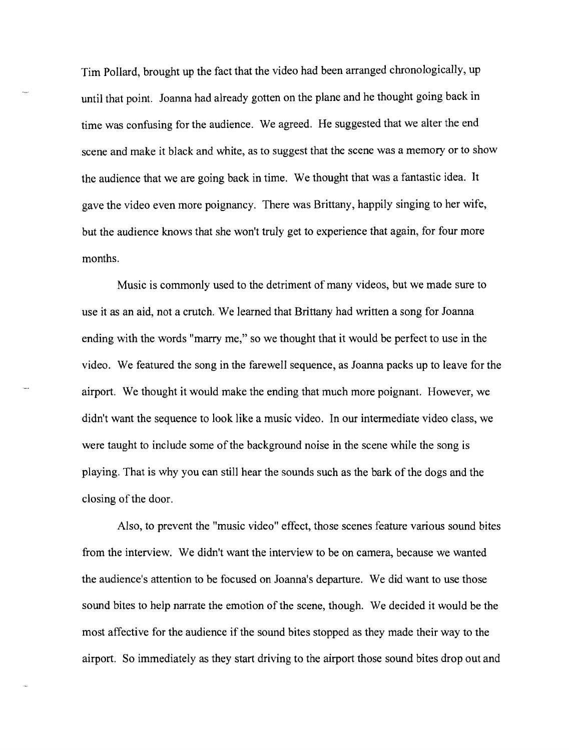Tim Pollard, brought up the fact that the video had been arranged chronologically, up until that point. Joanna had already gotten on the plane and he thought going back in time was confusing for the audience. We agreed. He suggested that we alter the end scene and make it black and white, as to suggest that the scene was a memory or to show the audience that we are going back in time. We thought that was a fantastic idea. It gave the video even more poignancy. There was Brittany, happily singing to her wife, but the audience knows that she won't truly get to experience that again, for four more months.

Music is commonly used to the detriment of many videos, but we made sure to use it as an aid, not a crutch. We learned that Brittany had written a song for Joanna ending with the words "marry me," so we thought that it would be perfect to use in the video. We featured the song in the farewell sequence, as Joanna packs up to leave for the airport. We thought it would make the ending that much more poignant. However, we didn't want the sequence to look like a music video. In our intermediate video class, we were taught to include some of the background noise in the scene while the song is playing. That is why you can still hear the sounds such as the bark of the dogs and the closing of the door.

Also, to prevent the "music video" effect, those scenes feature various sound bites from the interview. We didn't want the interview to be on camera, because we wanted the audience's attention to be focused on Joanna's departure. We did want to use those sound bites to help narrate the emotion of the scene, though. We decided it would be the most affective for the audience if the sound bites stopped as they made their way to the airport. So immediately as they start driving to the airport those sound bites drop out and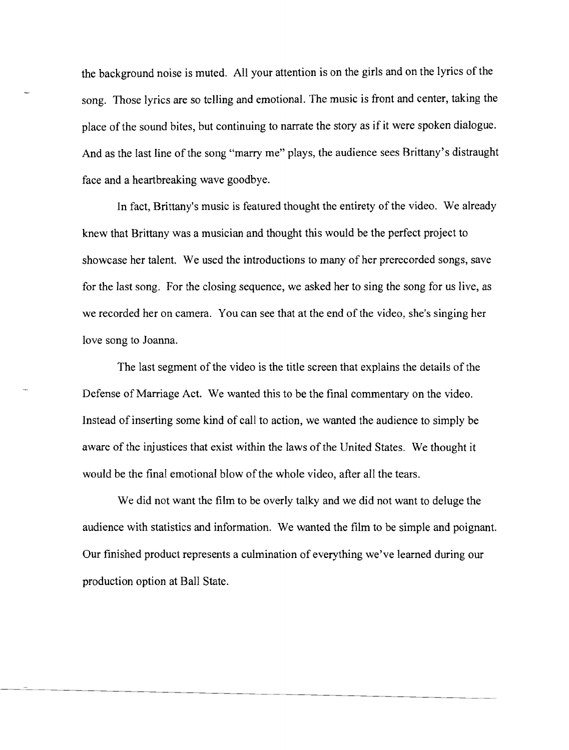the background noise is muted. All your attention is on the girls and on the lyrics of the song. Those lyrics are so telling and emotional. The music is front and center, taking the place of the sound bites, but continuing to narrate the story as if it were spoken dialogue. And as the last line of the song "marry me" plays, the audience sees Brittany's distraught face and a heartbreaking wave goodbye.

In fact, Brittany's music is featured thought the entirety of the video. We already knew that Brittany was a musician and thought this would be the perfect project to showcase her talent. We used the introductions to many of her prerecorded songs, save for the last song. For the closing sequence, we asked her to sing the song for us live, as we recorded her on camera. You can see that at the end of the video, she's singing her love song to Joanna.

The last segment of the video is the title screen that explains the details of the Defense of Marriage Act. We wanted this to be the final commentary on the video. Instead of inserting some kind of call to action, we wanted the audience to simply be aware of the injustices that exist within the laws of the United States. We thought it would be the final emotional blow of the whole video, after all the tears.

We did not want the film to be overly talky and we did not want to deluge the audience with statistics and information. We wanted the film to be simple and poignant. Our finished product represents a culmination of everything we've learned during our production option at Ball State.